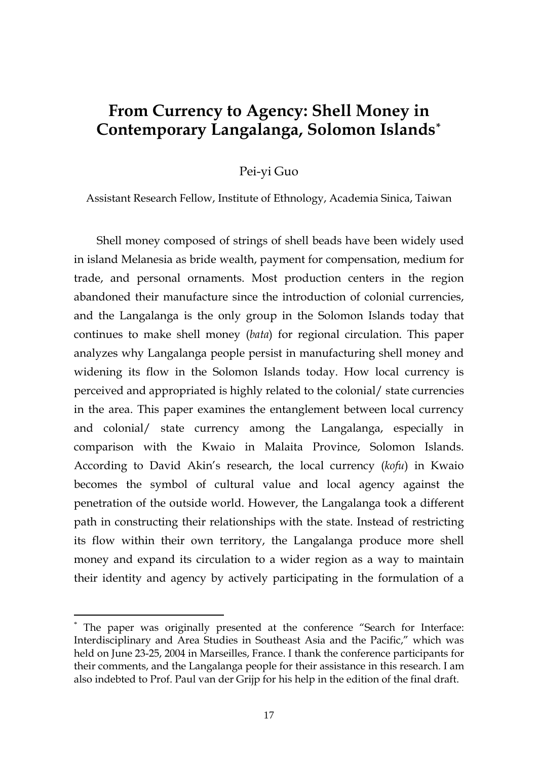# **From Currency to Agency: Shell Money in Contemporary Langalanga, Solomon Islands[\\*](#page-0-0)**

#### Pei-yi Guo

Assistant Research Fellow, Institute of Ethnology, Academia Sinica, Taiwan

Shell money composed of strings of shell beads have been widely used in island Melanesia as bride wealth, payment for compensation, medium for trade, and personal ornaments. Most production centers in the region abandoned their manufacture since the introduction of colonial currencies, and the Langalanga is the only group in the Solomon Islands today that continues to make shell money (*bata*) for regional circulation. This paper analyzes why Langalanga people persist in manufacturing shell money and widening its flow in the Solomon Islands today. How local currency is perceived and appropriated is highly related to the colonial/ state currencies in the area. This paper examines the entanglement between local currency and colonial/ state currency among the Langalanga, especially in comparison with the Kwaio in Malaita Province, Solomon Islands. According to David Akin's research, the local currency (*kofu*) in Kwaio becomes the symbol of cultural value and local agency against the penetration of the outside world. However, the Langalanga took a different path in constructing their relationships with the state. Instead of restricting its flow within their own territory, the Langalanga produce more shell money and expand its circulation to a wider region as a way to maintain their identity and agency by actively participating in the formulation of a

<span id="page-0-0"></span>The paper was originally presented at the conference "Search for Interface: Interdisciplinary and Area Studies in Southeast Asia and the Pacific," which was held on June 23-25, 2004 in Marseilles, France. I thank the conference participants for their comments, and the Langalanga people for their assistance in this research. I am also indebted to Prof. Paul van der Grijp for his help in the edition of the final draft.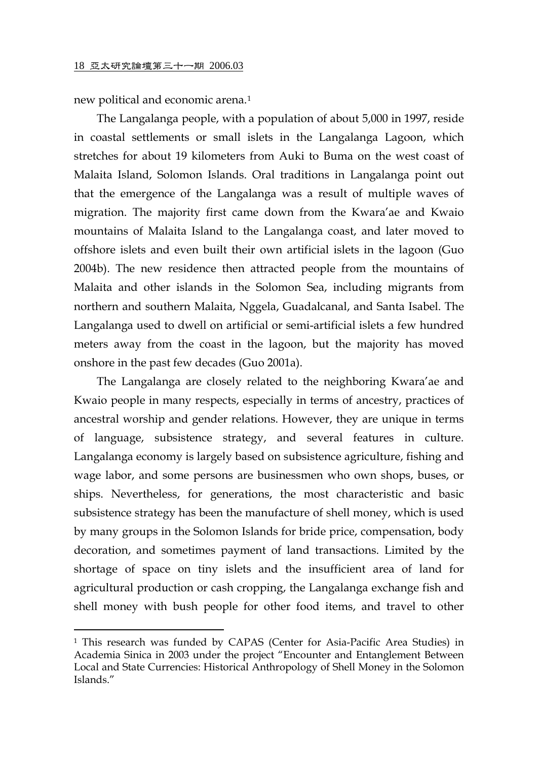new political and economic arena.[1](#page-1-0)

 $\overline{a}$ 

The Langalanga people, with a population of about 5,000 in 1997, reside in coastal settlements or small islets in the Langalanga Lagoon, which stretches for about 19 kilometers from Auki to Buma on the west coast of Malaita Island, Solomon Islands. Oral traditions in Langalanga point out that the emergence of the Langalanga was a result of multiple waves of migration. The majority first came down from the Kwara'ae and Kwaio mountains of Malaita Island to the Langalanga coast, and later moved to offshore islets and even built their own artificial islets in the lagoon (Guo 2004b). The new residence then attracted people from the mountains of Malaita and other islands in the Solomon Sea, including migrants from northern and southern Malaita, Nggela, Guadalcanal, and Santa Isabel. The Langalanga used to dwell on artificial or semi-artificial islets a few hundred meters away from the coast in the lagoon, but the majority has moved onshore in the past few decades (Guo 2001a).

The Langalanga are closely related to the neighboring Kwara'ae and Kwaio people in many respects, especially in terms of ancestry, practices of ancestral worship and gender relations. However, they are unique in terms of language, subsistence strategy, and several features in culture. Langalanga economy is largely based on subsistence agriculture, fishing and wage labor, and some persons are businessmen who own shops, buses, or ships. Nevertheless, for generations, the most characteristic and basic subsistence strategy has been the manufacture of shell money, which is used by many groups in the Solomon Islands for bride price, compensation, body decoration, and sometimes payment of land transactions. Limited by the shortage of space on tiny islets and the insufficient area of land for agricultural production or cash cropping, the Langalanga exchange fish and shell money with bush people for other food items, and travel to other

<span id="page-1-0"></span><sup>1</sup> This research was funded by CAPAS (Center for Asia-Pacific Area Studies) in Academia Sinica in 2003 under the project "Encounter and Entanglement Between Local and State Currencies: Historical Anthropology of Shell Money in the Solomon Islands."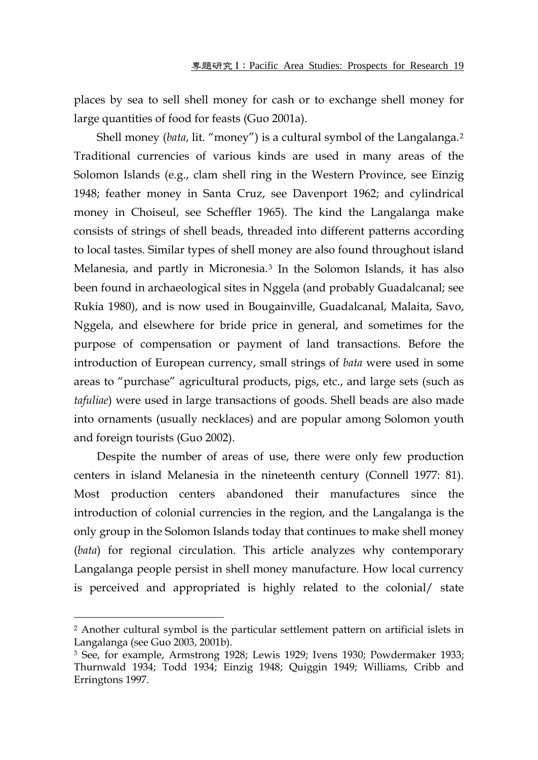places by sea to sell shell money for cash or to exchange shell money for large quantities of food for feasts (Guo 2001a).

Shell money (*bata*, lit. "money") is a cultural symbol of the Langalanga.[2](#page-2-0) Traditional currencies of various kinds are used in many areas of the Solomon Islands (e.g., clam shell ring in the Western Province, see Einzig 1948; feather money in Santa Cruz, see Davenport 1962; and cylindrical money in Choiseul, see Scheffler 1965). The kind the Langalanga make consists of strings of shell beads, threaded into different patterns according to local tastes. Similar types of shell money are also found throughout island Melanesia, and partly in Micronesia.[3](#page-2-1) In the Solomon Islands, it has also been found in archaeological sites in Nggela (and probably Guadalcanal; see Rukia 1980), and is now used in Bougainville, Guadalcanal, Malaita, Savo, Nggela, and elsewhere for bride price in general, and sometimes for the purpose of compensation or payment of land transactions. Before the introduction of European currency, small strings of *bata* were used in some areas to "purchase" agricultural products, pigs, etc., and large sets (such as *tafuliae*) were used in large transactions of goods. Shell beads are also made into ornaments (usually necklaces) and are popular among Solomon youth and foreign tourists (Guo 2002).

Despite the number of areas of use, there were only few production centers in island Melanesia in the nineteenth century (Connell 1977: 81). Most production centers abandoned their manufactures since the introduction of colonial currencies in the region, and the Langalanga is the only group in the Solomon Islands today that continues to make shell money (*bata*) for regional circulation. This article analyzes why contemporary Langalanga people persist in shell money manufacture. How local currency is perceived and appropriated is highly related to the colonial/ state

<span id="page-2-0"></span><sup>2</sup> Another cultural symbol is the particular settlement pattern on artificial islets in Langalanga (see Guo 2003, 2001b).

<span id="page-2-1"></span><sup>3</sup> See, for example, Armstrong 1928; Lewis 1929; Ivens 1930; Powdermaker 1933; Thurnwald 1934; Todd 1934; Einzig 1948; Quiggin 1949; Williams, Cribb and Erringtons 1997.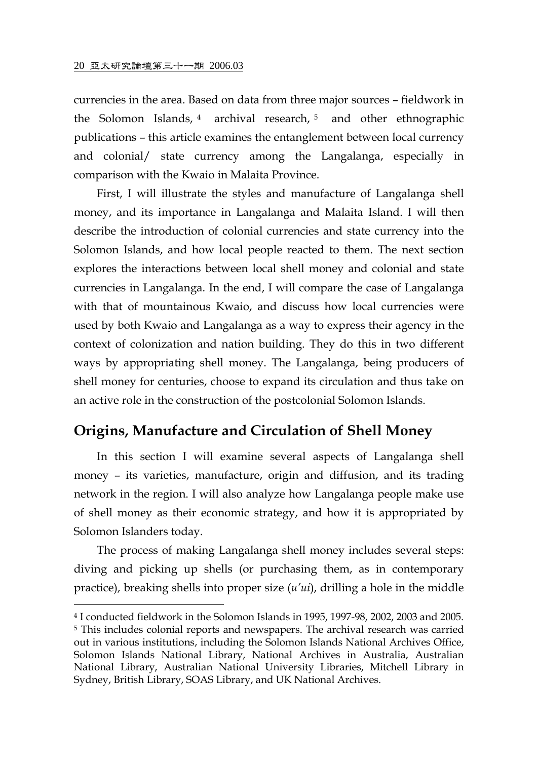$\overline{a}$ 

currencies in the area. Based on data from three major sources – fieldwork in the Solomon Islands, [4](#page-3-0) archival research, [5](#page-3-1) and other ethnographic publications – this article examines the entanglement between local currency and colonial/ state currency among the Langalanga, especially in comparison with the Kwaio in Malaita Province.

First, I will illustrate the styles and manufacture of Langalanga shell money, and its importance in Langalanga and Malaita Island. I will then describe the introduction of colonial currencies and state currency into the Solomon Islands, and how local people reacted to them. The next section explores the interactions between local shell money and colonial and state currencies in Langalanga. In the end, I will compare the case of Langalanga with that of mountainous Kwaio, and discuss how local currencies were used by both Kwaio and Langalanga as a way to express their agency in the context of colonization and nation building. They do this in two different ways by appropriating shell money. The Langalanga, being producers of shell money for centuries, choose to expand its circulation and thus take on an active role in the construction of the postcolonial Solomon Islands.

## **Origins, Manufacture and Circulation of Shell Money**

In this section I will examine several aspects of Langalanga shell money – its varieties, manufacture, origin and diffusion, and its trading network in the region. I will also analyze how Langalanga people make use of shell money as their economic strategy, and how it is appropriated by Solomon Islanders today.

The process of making Langalanga shell money includes several steps: diving and picking up shells (or purchasing them, as in contemporary practice), breaking shells into proper size (*u'ui*), drilling a hole in the middle

<span id="page-3-1"></span><span id="page-3-0"></span><sup>4</sup> I conducted fieldwork in the Solomon Islands in 1995, 1997-98, 2002, 2003 and 2005. 5 This includes colonial reports and newspapers. The archival research was carried out in various institutions, including the Solomon Islands National Archives Office, Solomon Islands National Library, National Archives in Australia, Australian National Library, Australian National University Libraries, Mitchell Library in Sydney, British Library, SOAS Library, and UK National Archives.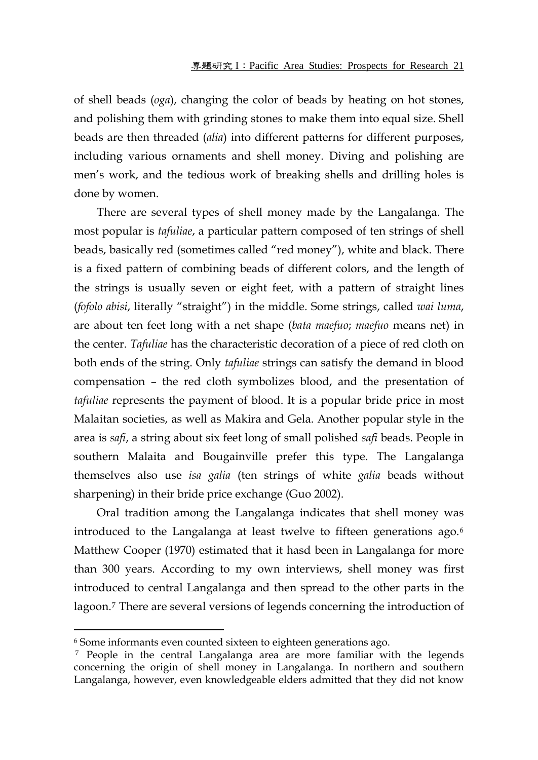of shell beads (*oga*), changing the color of beads by heating on hot stones, and polishing them with grinding stones to make them into equal size. Shell beads are then threaded (*alia*) into different patterns for different purposes, including various ornaments and shell money. Diving and polishing are men's work, and the tedious work of breaking shells and drilling holes is done by women.

There are several types of shell money made by the Langalanga. The most popular is *tafuliae*, a particular pattern composed of ten strings of shell beads, basically red (sometimes called "red money"), white and black. There is a fixed pattern of combining beads of different colors, and the length of the strings is usually seven or eight feet, with a pattern of straight lines (*fofolo abisi*, literally "straight") in the middle. Some strings, called *wai luma*, are about ten feet long with a net shape (*bata maefuo*; *maefuo* means net) in the center. *Tafuliae* has the characteristic decoration of a piece of red cloth on both ends of the string. Only *tafuliae* strings can satisfy the demand in blood compensation – the red cloth symbolizes blood, and the presentation of *tafuliae* represents the payment of blood. It is a popular bride price in most Malaitan societies, as well as Makira and Gela. Another popular style in the area is *safi*, a string about six feet long of small polished *safi* beads. People in southern Malaita and Bougainville prefer this type. The Langalanga themselves also use *isa galia* (ten strings of white *galia* beads without sharpening) in their bride price exchange (Guo 2002).

Oral tradition among the Langalanga indicates that shell money was introduced to the Langalanga at least twelve to fifteen generations ago.[6](#page-4-0) Matthew Cooper (1970) estimated that it hasd been in Langalanga for more than 300 years. According to my own interviews, shell money was first introduced to central Langalanga and then spread to the other parts in the lagoon.[7](#page-4-1) There are several versions of legends concerning the introduction of

<span id="page-4-0"></span><sup>6</sup> Some informants even counted sixteen to eighteen generations ago.

<span id="page-4-1"></span><sup>&</sup>lt;sup>7</sup> People in the central Langalanga area are more familiar with the legends concerning the origin of shell money in Langalanga. In northern and southern Langalanga, however, even knowledgeable elders admitted that they did not know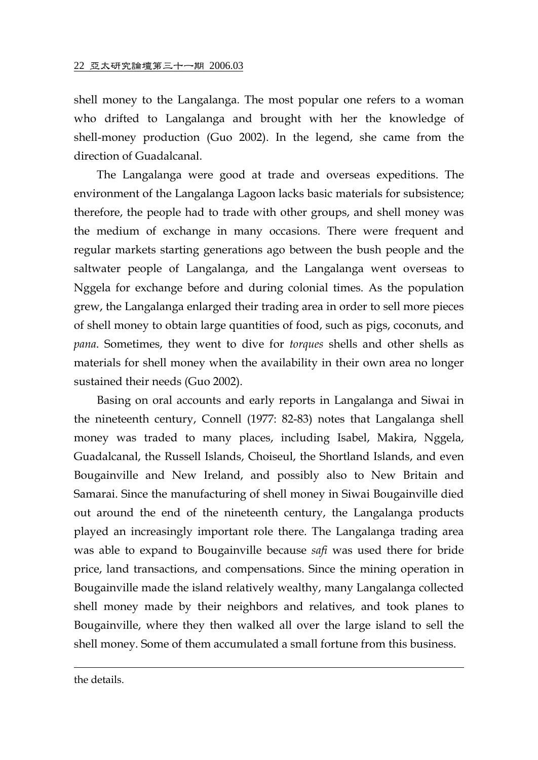shell money to the Langalanga. The most popular one refers to a woman who drifted to Langalanga and brought with her the knowledge of shell-money production (Guo 2002). In the legend, she came from the direction of Guadalcanal.

The Langalanga were good at trade and overseas expeditions. The environment of the Langalanga Lagoon lacks basic materials for subsistence; therefore, the people had to trade with other groups, and shell money was the medium of exchange in many occasions. There were frequent and regular markets starting generations ago between the bush people and the saltwater people of Langalanga, and the Langalanga went overseas to Nggela for exchange before and during colonial times. As the population grew, the Langalanga enlarged their trading area in order to sell more pieces of shell money to obtain large quantities of food, such as pigs, coconuts, and *pana*. Sometimes, they went to dive for *torques* shells and other shells as materials for shell money when the availability in their own area no longer sustained their needs (Guo 2002).

Basing on oral accounts and early reports in Langalanga and Siwai in the nineteenth century, Connell (1977: 82-83) notes that Langalanga shell money was traded to many places, including Isabel, Makira, Nggela, Guadalcanal, the Russell Islands, Choiseul, the Shortland Islands, and even Bougainville and New Ireland, and possibly also to New Britain and Samarai. Since the manufacturing of shell money in Siwai Bougainville died out around the end of the nineteenth century, the Langalanga products played an increasingly important role there. The Langalanga trading area was able to expand to Bougainville because *safi* was used there for bride price, land transactions, and compensations. Since the mining operation in Bougainville made the island relatively wealthy, many Langalanga collected shell money made by their neighbors and relatives, and took planes to Bougainville, where they then walked all over the large island to sell the shell money. Some of them accumulated a small fortune from this business.

the details.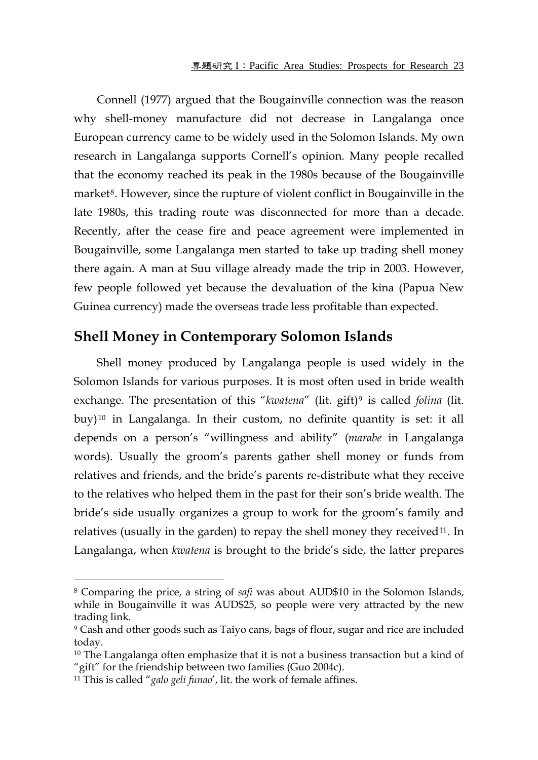Connell (1977) argued that the Bougainville connection was the reason why shell-money manufacture did not decrease in Langalanga once European currency came to be widely used in the Solomon Islands. My own research in Langalanga supports Cornell's opinion. Many people recalled that the economy reached its peak in the 1980s because of the Bougainville market<sup>[8](#page-6-0)</sup>. However, since the rupture of violent conflict in Bougainville in the late 1980s, this trading route was disconnected for more than a decade. Recently, after the cease fire and peace agreement were implemented in Bougainville, some Langalanga men started to take up trading shell money there again. A man at Suu village already made the trip in 2003. However, few people followed yet because the devaluation of the kina (Papua New Guinea currency) made the overseas trade less profitable than expected.

## **Shell Money in Contemporary Solomon Islands**

Shell money produced by Langalanga people is used widely in the Solomon Islands for various purposes. It is most often used in bride wealth exchange. The presentation of this "*kwatena*" (lit. gift)<sup>[9](#page-6-1)</sup> is called *folina* (lit. buy)[10](#page-6-2) in Langalanga. In their custom, no definite quantity is set: it all depends on a person's "willingness and ability" (*marabe* in Langalanga words). Usually the groom's parents gather shell money or funds from relatives and friends, and the bride's parents re-distribute what they receive to the relatives who helped them in the past for their son's bride wealth. The bride's side usually organizes a group to work for the groom's family and relatives (usually in the garden) to repay the shell money they received<sup>[11](#page-6-3)</sup>. In Langalanga, when *kwatena* is brought to the bride's side, the latter prepares

<span id="page-6-0"></span><sup>8</sup> Comparing the price, a string of *safi* was about AUD\$10 in the Solomon Islands, while in Bougainville it was AUD\$25, so people were very attracted by the new trading link.

<span id="page-6-1"></span><sup>9</sup> Cash and other goods such as Taiyo cans, bags of flour, sugar and rice are included today.

<span id="page-6-2"></span><sup>&</sup>lt;sup>10</sup> The Langalanga often emphasize that it is not a business transaction but a kind of "gift" for the friendship between two families (Guo 2004c).

<span id="page-6-3"></span><sup>11</sup> This is called "*galo geli funao*', lit. the work of female affines.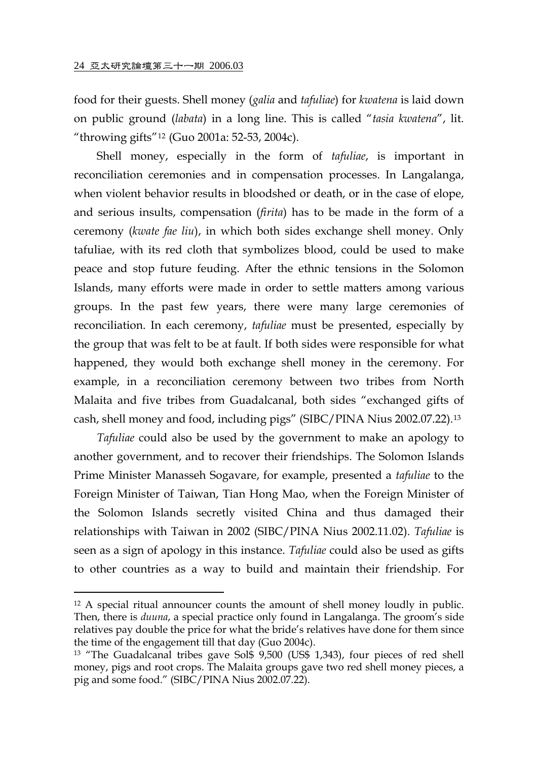$\overline{a}$ 

food for their guests. Shell money (*galia* and *tafuliae*) for *kwatena* is laid down on public ground (*labata*) in a long line. This is called "*tasia kwatena*", lit. "throwing gifts"[12](#page-7-0) (Guo 2001a: 52-53, 2004c).

Shell money, especially in the form of *tafuliae*, is important in reconciliation ceremonies and in compensation processes. In Langalanga, when violent behavior results in bloodshed or death, or in the case of elope, and serious insults, compensation (*firita*) has to be made in the form of a ceremony (*kwate fae liu*), in which both sides exchange shell money. Only tafuliae, with its red cloth that symbolizes blood, could be used to make peace and stop future feuding. After the ethnic tensions in the Solomon Islands, many efforts were made in order to settle matters among various groups. In the past few years, there were many large ceremonies of reconciliation. In each ceremony, *tafuliae* must be presented, especially by the group that was felt to be at fault. If both sides were responsible for what happened, they would both exchange shell money in the ceremony. For example, in a reconciliation ceremony between two tribes from North Malaita and five tribes from Guadalcanal, both sides "exchanged gifts of cash, shell money and food, including pigs" (SIBC/PINA Nius 2002.07.22).[13](#page-7-1)

*Tafuliae* could also be used by the government to make an apology to another government, and to recover their friendships. The Solomon Islands Prime Minister Manasseh Sogavare, for example, presented a *tafuliae* to the Foreign Minister of Taiwan, Tian Hong Mao, when the Foreign Minister of the Solomon Islands secretly visited China and thus damaged their relationships with Taiwan in 2002 (SIBC/PINA Nius 2002.11.02). *Tafuliae* is seen as a sign of apology in this instance. *Tafuliae* could also be used as gifts to other countries as a way to build and maintain their friendship. For

<span id="page-7-0"></span><sup>12</sup> A special ritual announcer counts the amount of shell money loudly in public. Then, there is *duuna*, a special practice only found in Langalanga. The groom's side relatives pay double the price for what the bride's relatives have done for them since the time of the engagement till that day (Guo 2004c).

<span id="page-7-1"></span><sup>&</sup>lt;sup>13</sup> "The Guadalcanal tribes gave Sol\$ 9,500 (US\$ 1,343), four pieces of red shell money, pigs and root crops. The Malaita groups gave two red shell money pieces, a pig and some food." (SIBC/PINA Nius 2002.07.22).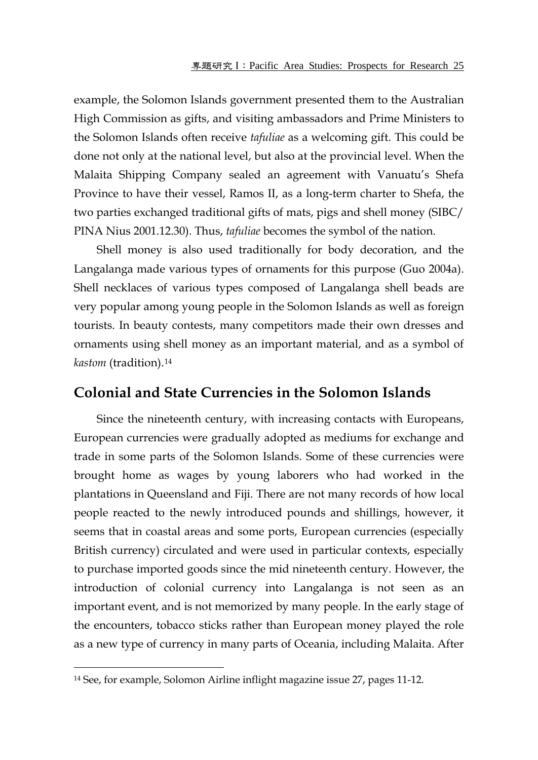example, the Solomon Islands government presented them to the Australian High Commission as gifts, and visiting ambassadors and Prime Ministers to the Solomon Islands often receive *tafuliae* as a welcoming gift. This could be done not only at the national level, but also at the provincial level. When the Malaita Shipping Company sealed an agreement with Vanuatu's Shefa Province to have their vessel, Ramos II, as a long-term charter to Shefa, the two parties exchanged traditional gifts of mats, pigs and shell money (SIBC/ PINA Nius 2001.12.30). Thus, *tafuliae* becomes the symbol of the nation.

Shell money is also used traditionally for body decoration, and the Langalanga made various types of ornaments for this purpose (Guo 2004a). Shell necklaces of various types composed of Langalanga shell beads are very popular among young people in the Solomon Islands as well as foreign tourists. In beauty contests, many competitors made their own dresses and ornaments using shell money as an important material, and as a symbol of *kastom* (tradition).[14](#page-8-0)

#### **Colonial and State Currencies in the Solomon Islands**

Since the nineteenth century, with increasing contacts with Europeans, European currencies were gradually adopted as mediums for exchange and trade in some parts of the Solomon Islands. Some of these currencies were brought home as wages by young laborers who had worked in the plantations in Queensland and Fiji. There are not many records of how local people reacted to the newly introduced pounds and shillings, however, it seems that in coastal areas and some ports, European currencies (especially British currency) circulated and were used in particular contexts, especially to purchase imported goods since the mid nineteenth century. However, the introduction of colonial currency into Langalanga is not seen as an important event, and is not memorized by many people. In the early stage of the encounters, tobacco sticks rather than European money played the role as a new type of currency in many parts of Oceania, including Malaita. After

<span id="page-8-0"></span><sup>14</sup> See, for example, Solomon Airline inflight magazine issue 27, pages 11-12.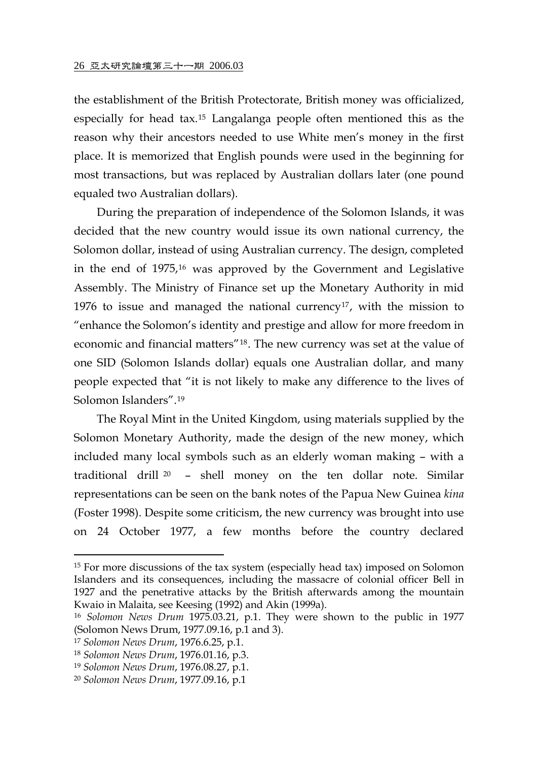the establishment of the British Protectorate, British money was officialized, especially for head tax.[15](#page-9-0) Langalanga people often mentioned this as the reason why their ancestors needed to use White men's money in the first place. It is memorized that English pounds were used in the beginning for most transactions, but was replaced by Australian dollars later (one pound equaled two Australian dollars).

During the preparation of independence of the Solomon Islands, it was decided that the new country would issue its own national currency, the Solomon dollar, instead of using Australian currency. The design, completed in the end of 1975,[16](#page-9-1) was approved by the Government and Legislative Assembly. The Ministry of Finance set up the Monetary Authority in mid 1976 to issue and managed the national currency<sup>[17](#page-9-2)</sup>, with the mission to "enhance the Solomon's identity and prestige and allow for more freedom in economic and financial matters"[18](#page-9-3). The new currency was set at the value of one SID (Solomon Islands dollar) equals one Australian dollar, and many people expected that "it is not likely to make any difference to the lives of Solomon Islanders".[19](#page-9-4)

The Royal Mint in the United Kingdom, using materials supplied by the Solomon Monetary Authority, made the design of the new money, which included many local symbols such as an elderly woman making – with a traditional drill [20](#page-9-5) – shell money on the ten dollar note. Similar representations can be seen on the bank notes of the Papua New Guinea *kina* (Foster 1998). Despite some criticism, the new currency was brought into use on 24 October 1977, a few months before the country declared

<span id="page-9-0"></span><sup>15</sup> For more discussions of the tax system (especially head tax) imposed on Solomon Islanders and its consequences, including the massacre of colonial officer Bell in 1927 and the penetrative attacks by the British afterwards among the mountain Kwaio in Malaita, see Keesing (1992) and Akin (1999a).

<span id="page-9-1"></span><sup>16</sup> *Solomon News Drum* 1975.03.21, p.1. They were shown to the public in 1977 (Solomon News Drum, 1977.09.16, p.1 and 3).

<span id="page-9-2"></span><sup>17</sup> *Solomon News Drum*, 1976.6.25, p.1.

<span id="page-9-3"></span><sup>18</sup> *Solomon News Drum*, 1976.01.16, p.3.

<span id="page-9-4"></span><sup>19</sup> *Solomon News Drum*, 1976.08.27, p.1.

<span id="page-9-5"></span><sup>20</sup> *Solomon News Drum*, 1977.09.16, p.1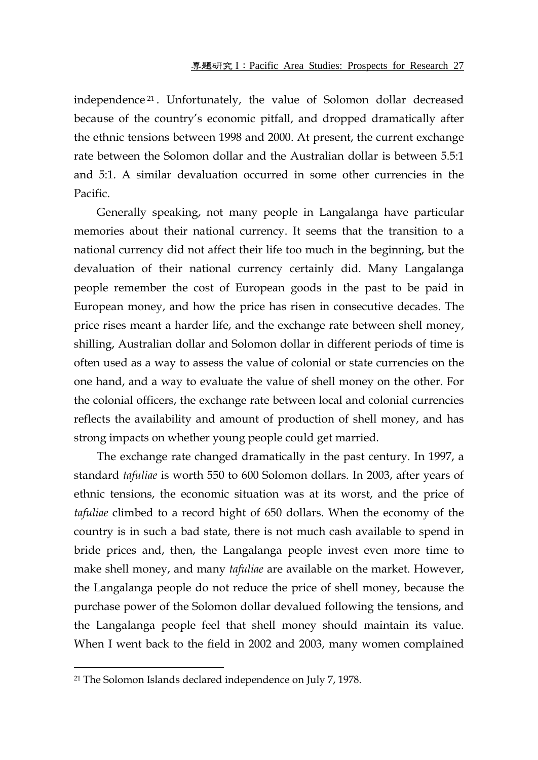independence [21](#page-10-0) . Unfortunately, the value of Solomon dollar decreased because of the country's economic pitfall, and dropped dramatically after the ethnic tensions between 1998 and 2000. At present, the current exchange rate between the Solomon dollar and the Australian dollar is between 5.5:1 and 5:1. A similar devaluation occurred in some other currencies in the Pacific.

Generally speaking, not many people in Langalanga have particular memories about their national currency. It seems that the transition to a national currency did not affect their life too much in the beginning, but the devaluation of their national currency certainly did. Many Langalanga people remember the cost of European goods in the past to be paid in European money, and how the price has risen in consecutive decades. The price rises meant a harder life, and the exchange rate between shell money, shilling, Australian dollar and Solomon dollar in different periods of time is often used as a way to assess the value of colonial or state currencies on the one hand, and a way to evaluate the value of shell money on the other. For the colonial officers, the exchange rate between local and colonial currencies reflects the availability and amount of production of shell money, and has strong impacts on whether young people could get married.

The exchange rate changed dramatically in the past century. In 1997, a standard *tafuliae* is worth 550 to 600 Solomon dollars. In 2003, after years of ethnic tensions, the economic situation was at its worst, and the price of *tafuliae* climbed to a record hight of 650 dollars. When the economy of the country is in such a bad state, there is not much cash available to spend in bride prices and, then, the Langalanga people invest even more time to make shell money, and many *tafuliae* are available on the market. However, the Langalanga people do not reduce the price of shell money, because the purchase power of the Solomon dollar devalued following the tensions, and the Langalanga people feel that shell money should maintain its value. When I went back to the field in 2002 and 2003, many women complained

<span id="page-10-0"></span><sup>&</sup>lt;sup>21</sup> The Solomon Islands declared independence on July 7, 1978.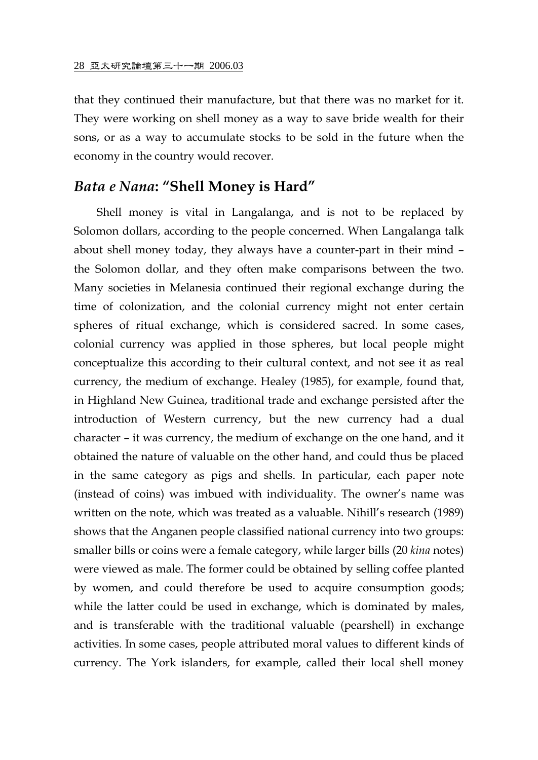that they continued their manufacture, but that there was no market for it. They were working on shell money as a way to save bride wealth for their sons, or as a way to accumulate stocks to be sold in the future when the economy in the country would recover.

# *Bata e Nana***: "Shell Money is Hard"**

Shell money is vital in Langalanga, and is not to be replaced by Solomon dollars, according to the people concerned. When Langalanga talk about shell money today, they always have a counter-part in their mind – the Solomon dollar, and they often make comparisons between the two. Many societies in Melanesia continued their regional exchange during the time of colonization, and the colonial currency might not enter certain spheres of ritual exchange, which is considered sacred. In some cases, colonial currency was applied in those spheres, but local people might conceptualize this according to their cultural context, and not see it as real currency, the medium of exchange. Healey (1985), for example, found that, in Highland New Guinea, traditional trade and exchange persisted after the introduction of Western currency, but the new currency had a dual character – it was currency, the medium of exchange on the one hand, and it obtained the nature of valuable on the other hand, and could thus be placed in the same category as pigs and shells. In particular, each paper note (instead of coins) was imbued with individuality. The owner's name was written on the note, which was treated as a valuable. Nihill's research (1989) shows that the Anganen people classified national currency into two groups: smaller bills or coins were a female category, while larger bills (20 *kina* notes) were viewed as male. The former could be obtained by selling coffee planted by women, and could therefore be used to acquire consumption goods; while the latter could be used in exchange, which is dominated by males, and is transferable with the traditional valuable (pearshell) in exchange activities. In some cases, people attributed moral values to different kinds of currency. The York islanders, for example, called their local shell money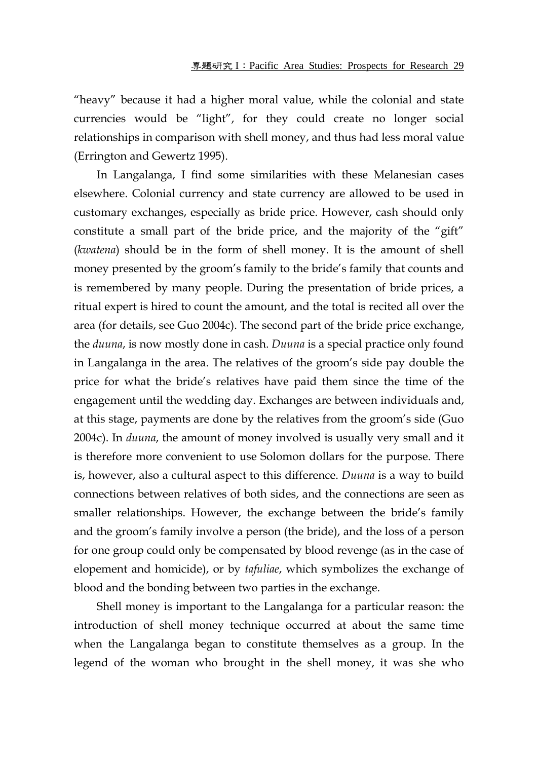"heavy" because it had a higher moral value, while the colonial and state currencies would be "light", for they could create no longer social relationships in comparison with shell money, and thus had less moral value (Errington and Gewertz 1995).

In Langalanga, I find some similarities with these Melanesian cases elsewhere. Colonial currency and state currency are allowed to be used in customary exchanges, especially as bride price. However, cash should only constitute a small part of the bride price, and the majority of the "gift" (*kwatena*) should be in the form of shell money. It is the amount of shell money presented by the groom's family to the bride's family that counts and is remembered by many people. During the presentation of bride prices, a ritual expert is hired to count the amount, and the total is recited all over the area (for details, see Guo 2004c). The second part of the bride price exchange, the *duuna*, is now mostly done in cash. *Duuna* is a special practice only found in Langalanga in the area. The relatives of the groom's side pay double the price for what the bride's relatives have paid them since the time of the engagement until the wedding day. Exchanges are between individuals and, at this stage, payments are done by the relatives from the groom's side (Guo 2004c). In *duuna*, the amount of money involved is usually very small and it is therefore more convenient to use Solomon dollars for the purpose. There is, however, also a cultural aspect to this difference. *Duuna* is a way to build connections between relatives of both sides, and the connections are seen as smaller relationships. However, the exchange between the bride's family and the groom's family involve a person (the bride), and the loss of a person for one group could only be compensated by blood revenge (as in the case of elopement and homicide), or by *tafuliae*, which symbolizes the exchange of blood and the bonding between two parties in the exchange.

Shell money is important to the Langalanga for a particular reason: the introduction of shell money technique occurred at about the same time when the Langalanga began to constitute themselves as a group. In the legend of the woman who brought in the shell money, it was she who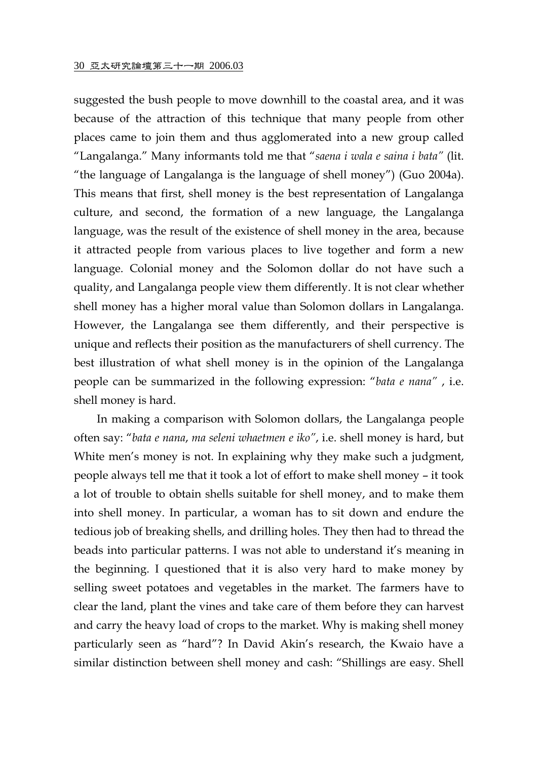suggested the bush people to move downhill to the coastal area, and it was because of the attraction of this technique that many people from other places came to join them and thus agglomerated into a new group called "Langalanga." Many informants told me that "*saena i wala e saina i bata"* (lit. "the language of Langalanga is the language of shell money") (Guo 2004a). This means that first, shell money is the best representation of Langalanga culture, and second, the formation of a new language, the Langalanga language, was the result of the existence of shell money in the area, because it attracted people from various places to live together and form a new language. Colonial money and the Solomon dollar do not have such a quality, and Langalanga people view them differently. It is not clear whether shell money has a higher moral value than Solomon dollars in Langalanga. However, the Langalanga see them differently, and their perspective is unique and reflects their position as the manufacturers of shell currency. The best illustration of what shell money is in the opinion of the Langalanga people can be summarized in the following expression: "*bata e nana"* , i.e. shell money is hard.

In making a comparison with Solomon dollars, the Langalanga people often say: "*bata e nana*, *ma seleni whaetmen e iko"*, i.e. shell money is hard, but White men's money is not. In explaining why they make such a judgment, people always tell me that it took a lot of effort to make shell money – it took a lot of trouble to obtain shells suitable for shell money, and to make them into shell money. In particular, a woman has to sit down and endure the tedious job of breaking shells, and drilling holes. They then had to thread the beads into particular patterns. I was not able to understand it's meaning in the beginning. I questioned that it is also very hard to make money by selling sweet potatoes and vegetables in the market. The farmers have to clear the land, plant the vines and take care of them before they can harvest and carry the heavy load of crops to the market. Why is making shell money particularly seen as "hard"? In David Akin's research, the Kwaio have a similar distinction between shell money and cash: "Shillings are easy. Shell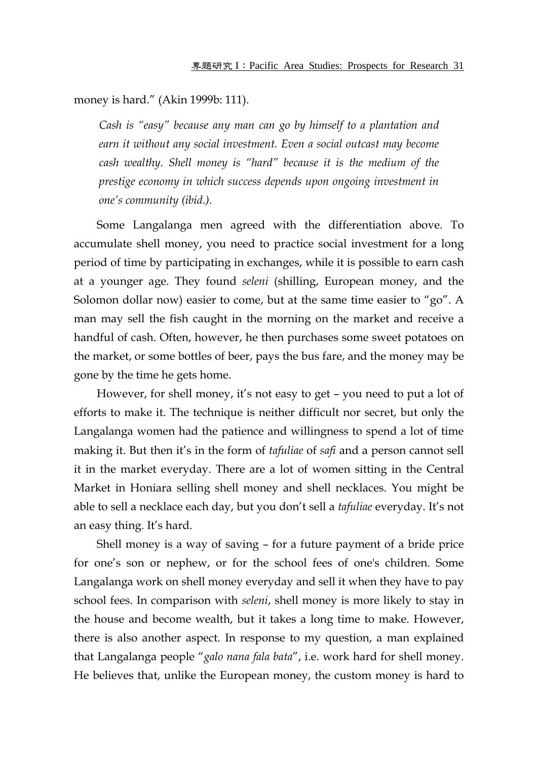money is hard." (Akin 1999b: 111).

*Cash is "easy" because any man can go by himself to a plantation and earn it without any social investment. Even a social outcast may become cash wealthy. Shell money is "hard" because it is the medium of the prestige economy in which success depends upon ongoing investment in one's community (ibid.).* 

Some Langalanga men agreed with the differentiation above. To accumulate shell money, you need to practice social investment for a long period of time by participating in exchanges, while it is possible to earn cash at a younger age. They found *seleni* (shilling, European money, and the Solomon dollar now) easier to come, but at the same time easier to "go". A man may sell the fish caught in the morning on the market and receive a handful of cash. Often, however, he then purchases some sweet potatoes on the market, or some bottles of beer, pays the bus fare, and the money may be gone by the time he gets home.

However, for shell money, it's not easy to get – you need to put a lot of efforts to make it. The technique is neither difficult nor secret, but only the Langalanga women had the patience and willingness to spend a lot of time making it. But then it's in the form of *tafuliae* of *safi* and a person cannot sell it in the market everyday. There are a lot of women sitting in the Central Market in Honiara selling shell money and shell necklaces. You might be able to sell a necklace each day, but you don't sell a *tafuliae* everyday. It's not an easy thing. It's hard.

Shell money is a way of saving – for a future payment of a bride price for one's son or nephew, or for the school fees of one's children. Some Langalanga work on shell money everyday and sell it when they have to pay school fees. In comparison with *seleni*, shell money is more likely to stay in the house and become wealth, but it takes a long time to make. However, there is also another aspect. In response to my question, a man explained that Langalanga people "*galo nana fala bata*", i.e. work hard for shell money. He believes that, unlike the European money, the custom money is hard to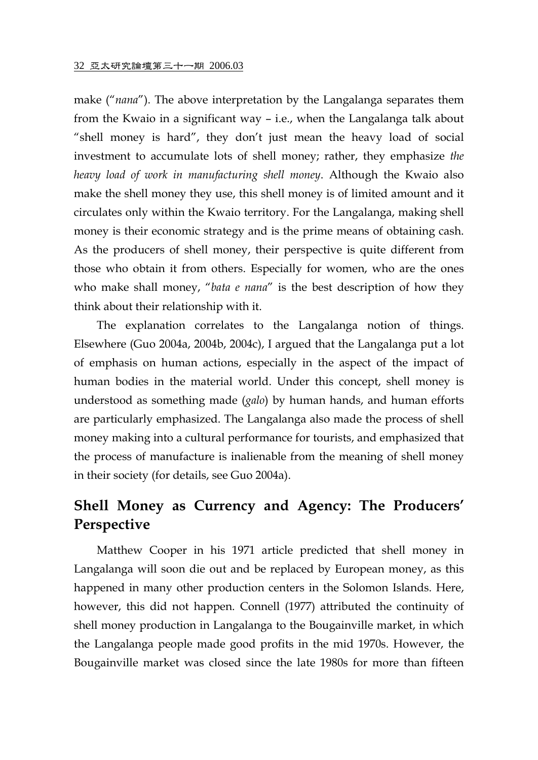make ("*nana*"). The above interpretation by the Langalanga separates them from the Kwaio in a significant way – i.e., when the Langalanga talk about "shell money is hard", they don't just mean the heavy load of social investment to accumulate lots of shell money; rather, they emphasize *the heavy load of work in manufacturing shell money*. Although the Kwaio also make the shell money they use, this shell money is of limited amount and it circulates only within the Kwaio territory. For the Langalanga, making shell money is their economic strategy and is the prime means of obtaining cash. As the producers of shell money, their perspective is quite different from those who obtain it from others. Especially for women, who are the ones who make shall money, "*bata e nana*" is the best description of how they think about their relationship with it.

The explanation correlates to the Langalanga notion of things. Elsewhere (Guo 2004a, 2004b, 2004c), I argued that the Langalanga put a lot of emphasis on human actions, especially in the aspect of the impact of human bodies in the material world. Under this concept, shell money is understood as something made (*galo*) by human hands, and human efforts are particularly emphasized. The Langalanga also made the process of shell money making into a cultural performance for tourists, and emphasized that the process of manufacture is inalienable from the meaning of shell money in their society (for details, see Guo 2004a).

# **Shell Money as Currency and Agency: The Producers' Perspective**

Matthew Cooper in his 1971 article predicted that shell money in Langalanga will soon die out and be replaced by European money, as this happened in many other production centers in the Solomon Islands. Here, however, this did not happen. Connell (1977) attributed the continuity of shell money production in Langalanga to the Bougainville market, in which the Langalanga people made good profits in the mid 1970s. However, the Bougainville market was closed since the late 1980s for more than fifteen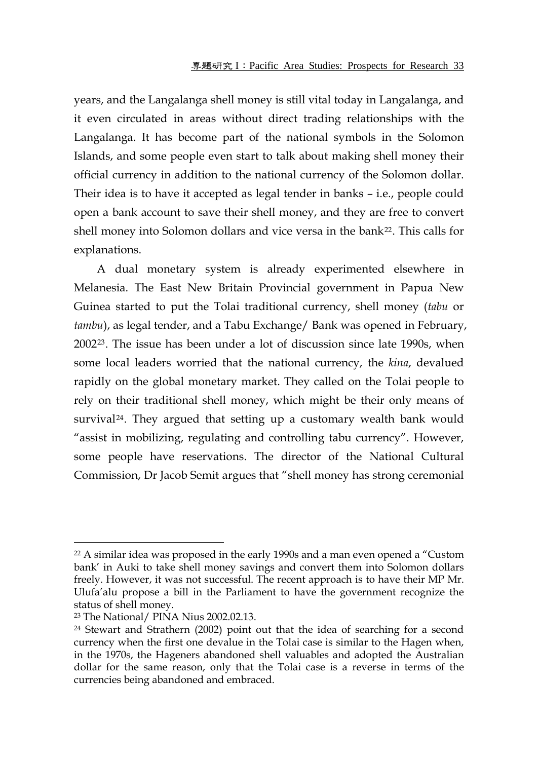years, and the Langalanga shell money is still vital today in Langalanga, and it even circulated in areas without direct trading relationships with the Langalanga. It has become part of the national symbols in the Solomon Islands, and some people even start to talk about making shell money their official currency in addition to the national currency of the Solomon dollar. Their idea is to have it accepted as legal tender in banks – i.e., people could open a bank account to save their shell money, and they are free to convert shell money into Solomon dollars and vice versa in the bank<sup>[22](#page-16-0)</sup>. This calls for explanations.

A dual monetary system is already experimented elsewhere in Melanesia. The East New Britain Provincial government in Papua New Guinea started to put the Tolai traditional currency, shell money (*tabu* or *tambu*), as legal tender, and a Tabu Exchange/ Bank was opened in February, 2002[23](#page-16-1). The issue has been under a lot of discussion since late 1990s, when some local leaders worried that the national currency, the *kina*, devalued rapidly on the global monetary market. They called on the Tolai people to rely on their traditional shell money, which might be their only means of survival<sup>[24](#page-16-2)</sup>. They argued that setting up a customary wealth bank would "assist in mobilizing, regulating and controlling tabu currency". However, some people have reservations. The director of the National Cultural Commission, Dr Jacob Semit argues that "shell money has strong ceremonial

<span id="page-16-0"></span> $22$  A similar idea was proposed in the early 1990s and a man even opened a "Custom" bank' in Auki to take shell money savings and convert them into Solomon dollars freely. However, it was not successful. The recent approach is to have their MP Mr. Ulufa'alu propose a bill in the Parliament to have the government recognize the status of shell money.

<span id="page-16-1"></span><sup>23</sup> The National/ PINA Nius 2002.02.13.

<span id="page-16-2"></span><sup>&</sup>lt;sup>24</sup> Stewart and Strathern (2002) point out that the idea of searching for a second currency when the first one devalue in the Tolai case is similar to the Hagen when, in the 1970s, the Hageners abandoned shell valuables and adopted the Australian dollar for the same reason, only that the Tolai case is a reverse in terms of the currencies being abandoned and embraced.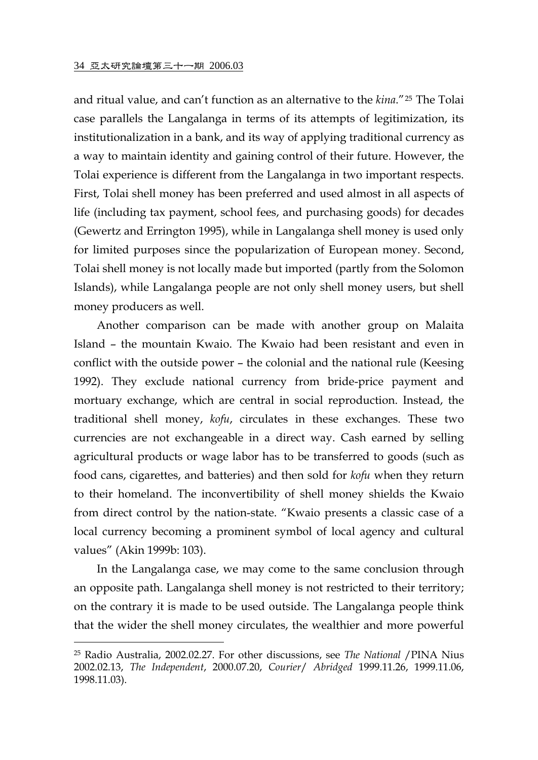$\overline{a}$ 

and ritual value, and can't function as an alternative to the *kina*."[25](#page-17-0) The Tolai case parallels the Langalanga in terms of its attempts of legitimization, its institutionalization in a bank, and its way of applying traditional currency as a way to maintain identity and gaining control of their future. However, the Tolai experience is different from the Langalanga in two important respects. First, Tolai shell money has been preferred and used almost in all aspects of life (including tax payment, school fees, and purchasing goods) for decades (Gewertz and Errington 1995), while in Langalanga shell money is used only for limited purposes since the popularization of European money. Second, Tolai shell money is not locally made but imported (partly from the Solomon Islands), while Langalanga people are not only shell money users, but shell money producers as well.

Another comparison can be made with another group on Malaita Island – the mountain Kwaio. The Kwaio had been resistant and even in conflict with the outside power – the colonial and the national rule (Keesing 1992). They exclude national currency from bride-price payment and mortuary exchange, which are central in social reproduction. Instead, the traditional shell money, *kofu*, circulates in these exchanges. These two currencies are not exchangeable in a direct way. Cash earned by selling agricultural products or wage labor has to be transferred to goods (such as food cans, cigarettes, and batteries) and then sold for *kofu* when they return to their homeland. The inconvertibility of shell money shields the Kwaio from direct control by the nation-state. "Kwaio presents a classic case of a local currency becoming a prominent symbol of local agency and cultural values" (Akin 1999b: 103).

In the Langalanga case, we may come to the same conclusion through an opposite path. Langalanga shell money is not restricted to their territory; on the contrary it is made to be used outside. The Langalanga people think that the wider the shell money circulates, the wealthier and more powerful

<span id="page-17-0"></span><sup>25</sup> Radio Australia, 2002.02.27. For other discussions, see *The National* /PINA Nius 2002.02.13, *The Independent*, 2000.07.20, *Courier*/ *Abridged* 1999.11.26, 1999.11.06, 1998.11.03).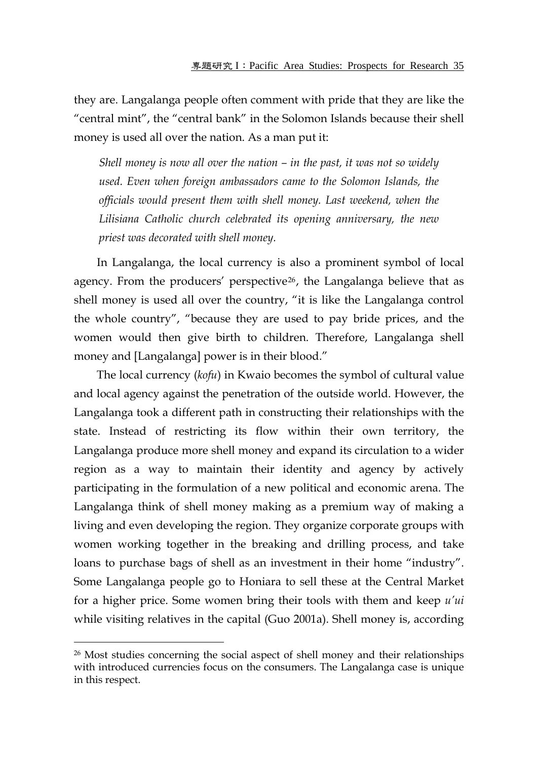they are. Langalanga people often comment with pride that they are like the "central mint", the "central bank" in the Solomon Islands because their shell money is used all over the nation. As a man put it:

*Shell money is now all over the nation – in the past, it was not so widely used. Even when foreign ambassadors came to the Solomon Islands, the officials would present them with shell money. Last weekend, when the Lilisiana Catholic church celebrated its opening anniversary, the new priest was decorated with shell money.* 

In Langalanga, the local currency is also a prominent symbol of local agency. From the producers' perspective[26](#page-18-0), the Langalanga believe that as shell money is used all over the country, "it is like the Langalanga control the whole country", "because they are used to pay bride prices, and the women would then give birth to children. Therefore, Langalanga shell money and [Langalanga] power is in their blood."

The local currency (*kofu*) in Kwaio becomes the symbol of cultural value and local agency against the penetration of the outside world. However, the Langalanga took a different path in constructing their relationships with the state. Instead of restricting its flow within their own territory, the Langalanga produce more shell money and expand its circulation to a wider region as a way to maintain their identity and agency by actively participating in the formulation of a new political and economic arena. The Langalanga think of shell money making as a premium way of making a living and even developing the region. They organize corporate groups with women working together in the breaking and drilling process, and take loans to purchase bags of shell as an investment in their home "industry". Some Langalanga people go to Honiara to sell these at the Central Market for a higher price. Some women bring their tools with them and keep *u'ui* while visiting relatives in the capital (Guo 2001a). Shell money is, according

<span id="page-18-0"></span><sup>&</sup>lt;sup>26</sup> Most studies concerning the social aspect of shell money and their relationships with introduced currencies focus on the consumers. The Langalanga case is unique in this respect.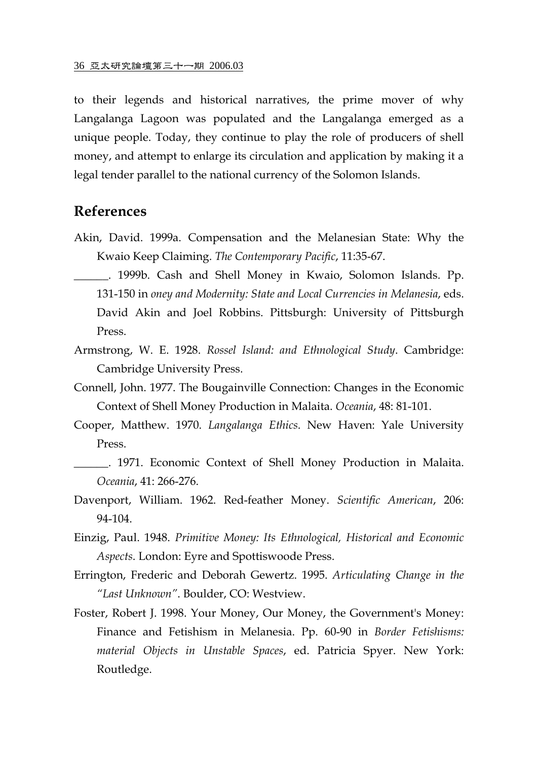to their legends and historical narratives, the prime mover of why Langalanga Lagoon was populated and the Langalanga emerged as a unique people. Today, they continue to play the role of producers of shell money, and attempt to enlarge its circulation and application by making it a legal tender parallel to the national currency of the Solomon Islands.

#### **References**

- Akin, David. 1999a. Compensation and the Melanesian State: Why the Kwaio Keep Claiming. *The Contemporary Pacific*, 11:35-67.
- \_\_\_\_\_\_. 1999b. Cash and Shell Money in Kwaio, Solomon Islands. Pp. 131-150 in *oney and Modernity: State and Local Currencies in Melanesia*, eds. David Akin and Joel Robbins. Pittsburgh: University of Pittsburgh Press.
- Armstrong, W. E. 1928. *Rossel Island: and Ethnological Study*. Cambridge: Cambridge University Press.
- Connell, John. 1977. The Bougainville Connection: Changes in the Economic Context of Shell Money Production in Malaita. *Oceania*, 48: 81-101.
- Cooper, Matthew. 1970. *Langalanga Ethics*. New Haven: Yale University Press.
- \_\_\_\_\_\_. 1971. Economic Context of Shell Money Production in Malaita. *Oceania*, 41: 266-276.
- Davenport, William. 1962. Red-feather Money. *Scientific American*, 206: 94-104.
- Einzig, Paul. 1948. *Primitive Money: Its Ethnological, Historical and Economic Aspects*. London: Eyre and Spottiswoode Press.
- Errington, Frederic and Deborah Gewertz. 1995. *Articulating Change in the "Last Unknown"*. Boulder, CO: Westview.
- Foster, Robert J. 1998. Your Money, Our Money, the Government's Money: Finance and Fetishism in Melanesia. Pp. 60-90 in *Border Fetishisms: material Objects in Unstable Spaces*, ed. Patricia Spyer. New York: Routledge.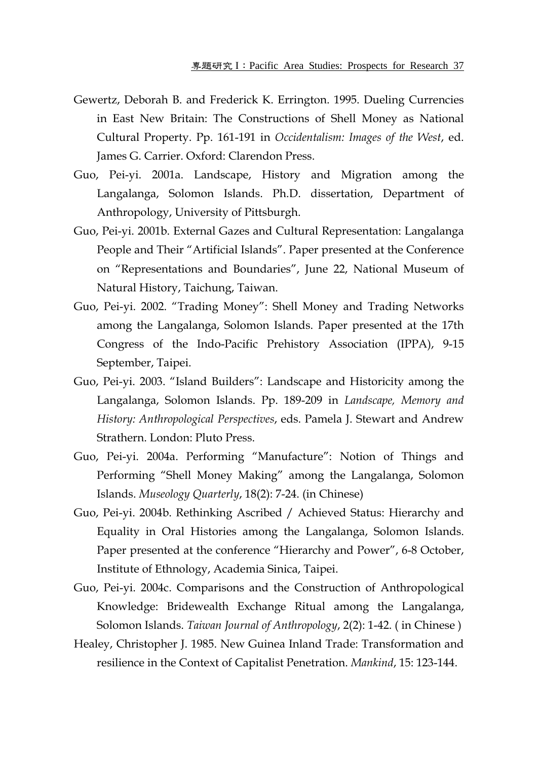- Gewertz, Deborah B. and Frederick K. Errington. 1995. Dueling Currencies in East New Britain: The Constructions of Shell Money as National Cultural Property. Pp. 161-191 in *Occidentalism: Images of the West*, ed. James G. Carrier. Oxford: Clarendon Press.
- Guo, Pei-yi. 2001a. Landscape, History and Migration among the Langalanga, Solomon Islands. Ph.D. dissertation, Department of Anthropology, University of Pittsburgh.
- Guo, Pei-yi. 2001b. External Gazes and Cultural Representation: Langalanga People and Their "Artificial Islands". Paper presented at the Conference on "Representations and Boundaries", June 22, National Museum of Natural History, Taichung, Taiwan.
- Guo, Pei-yi. 2002. "Trading Money": Shell Money and Trading Networks among the Langalanga, Solomon Islands. Paper presented at the 17th Congress of the Indo-Pacific Prehistory Association (IPPA), 9-15 September, Taipei.
- Guo, Pei-yi. 2003. "Island Builders": Landscape and Historicity among the Langalanga, Solomon Islands. Pp. 189-209 in *Landscape, Memory and History: Anthropological Perspectives*, eds. Pamela J. Stewart and Andrew Strathern. London: Pluto Press.
- Guo, Pei-yi. 2004a. Performing "Manufacture": Notion of Things and Performing "Shell Money Making" among the Langalanga, Solomon Islands. *Museology Quarterly*, 18(2): 7-24. (in Chinese)
- Guo, Pei-yi. 2004b. Rethinking Ascribed / Achieved Status: Hierarchy and Equality in Oral Histories among the Langalanga, Solomon Islands. Paper presented at the conference "Hierarchy and Power", 6-8 October, Institute of Ethnology, Academia Sinica, Taipei.
- Guo, Pei-yi. 2004c. Comparisons and the Construction of Anthropological Knowledge: Bridewealth Exchange Ritual among the Langalanga, Solomon Islands. *Taiwan Journal of Anthropology*, 2(2): 1-42. ( in Chinese )
- Healey, Christopher J. 1985. New Guinea Inland Trade: Transformation and resilience in the Context of Capitalist Penetration. *Mankind*, 15: 123-144.